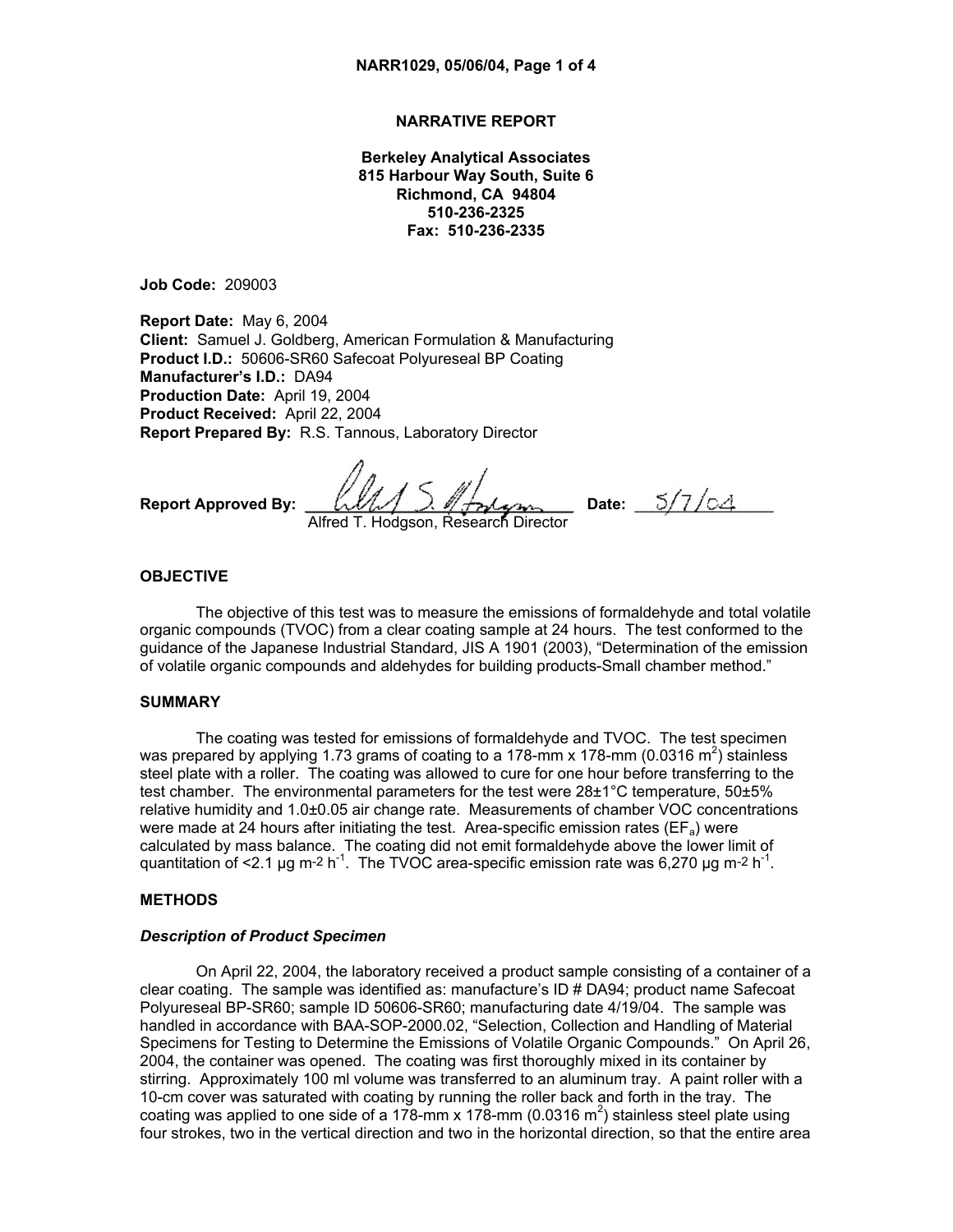# **NARRATIVE REPORT**

**Berkeley Analytical Associates 815 Harbour Way South, Suite 6 Richmond, CA 94804 510-236-2325 Fax: 510-236-2335** 

**Job Code:** 209003

**Report Date:** May 6, 2004 **Client:** Samuel J. Goldberg, American Formulation & Manufacturing **Product I.D.:** 50606-SR60 Safecoat Polyureseal BP Coating **Manufacturer's I.D.:** DA94 **Production Date:** April 19, 2004 **Product Received:** April 22, 2004 **Report Prepared By:** R.S. Tannous, Laboratory Director

**Report Approved By:**  $\left[\text{LML} \right] \supseteq \text{MFryl}$ 

Alfred T. Hodgson, Research Director

#### **OBJECTIVE**

The objective of this test was to measure the emissions of formaldehyde and total volatile organic compounds (TVOC) from a clear coating sample at 24 hours. The test conformed to the guidance of the Japanese Industrial Standard, JIS A 1901 (2003), "Determination of the emission of volatile organic compounds and aldehydes for building products-Small chamber method."

#### **SUMMARY**

The coating was tested for emissions of formaldehyde and TVOC. The test specimen was prepared by applying 1.73 grams of coating to a 178-mm x 178-mm (0.0316 m<sup>2</sup>) stainless steel plate with a roller. The coating was allowed to cure for one hour before transferring to the test chamber. The environmental parameters for the test were 28±1°C temperature, 50±5% relative humidity and 1.0±0.05 air change rate. Measurements of chamber VOC concentrations were made at 24 hours after initiating the test. Area-specific emission rates ( $EF_a$ ) were calculated by mass balance. The coating did not emit formaldehyde above the lower limit of quantitation of <2.1 µg m-2 h<sup>-1</sup>. The TVOC area-specific emission rate was 6,270 µg m-2 h<sup>-1</sup>.

### **METHODS**

#### *Description of Product Specimen*

On April 22, 2004, the laboratory received a product sample consisting of a container of a clear coating. The sample was identified as: manufacture's ID # DA94; product name Safecoat Polyureseal BP-SR60; sample ID 50606-SR60; manufacturing date 4/19/04. The sample was handled in accordance with BAA-SOP-2000.02, "Selection, Collection and Handling of Material Specimens for Testing to Determine the Emissions of Volatile Organic Compounds." On April 26, 2004, the container was opened. The coating was first thoroughly mixed in its container by stirring. Approximately 100 ml volume was transferred to an aluminum tray. A paint roller with a 10-cm cover was saturated with coating by running the roller back and forth in the tray. The coating was applied to one side of a 178-mm x 178-mm (0.0316 m<sup>2</sup>) stainless steel plate using four strokes, two in the vertical direction and two in the horizontal direction, so that the entire area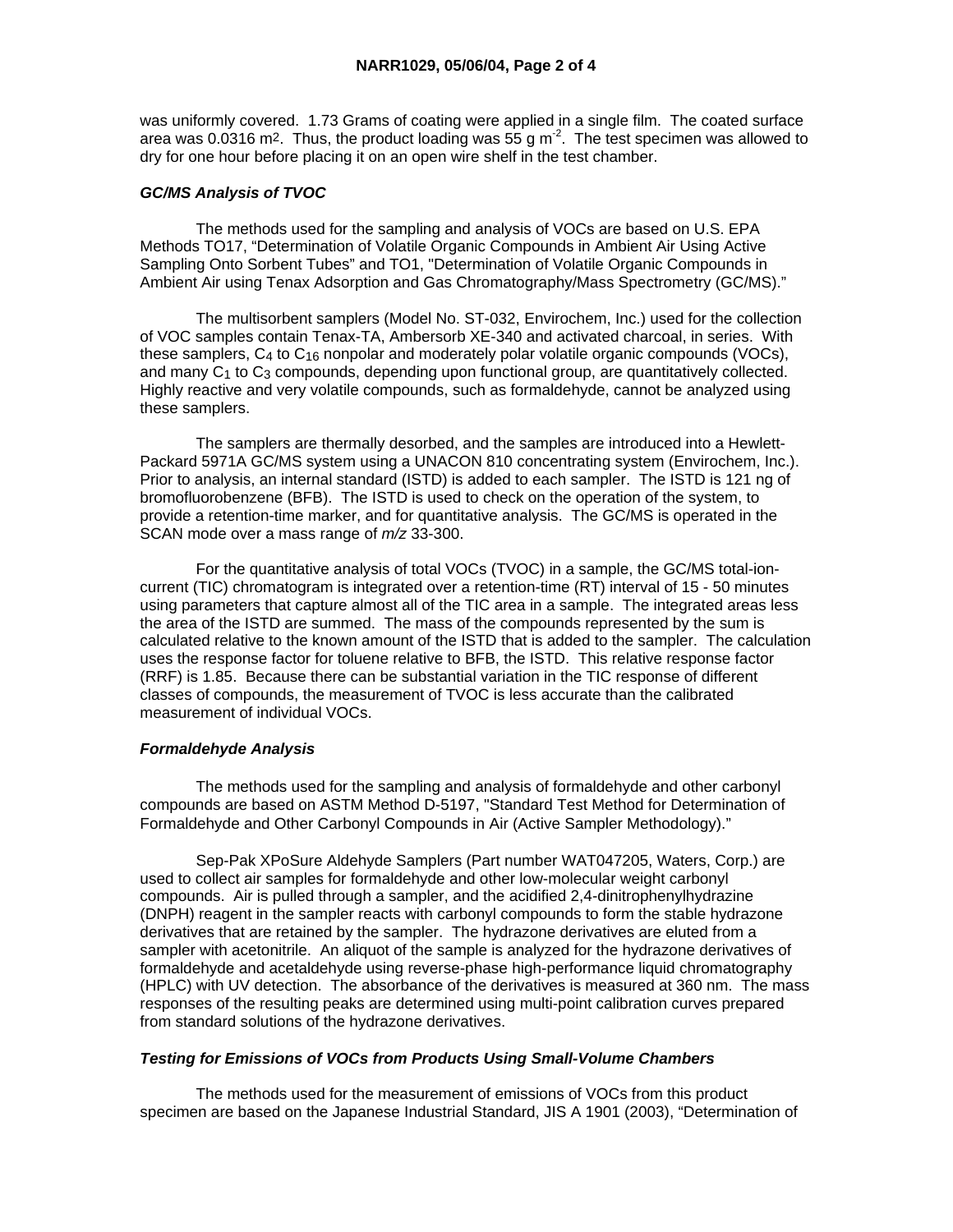was uniformly covered. 1.73 Grams of coating were applied in a single film. The coated surface area was 0.0316 m<sup>2</sup>. Thus, the product loading was  $55 \text{ g m}^2$ . The test specimen was allowed to dry for one hour before placing it on an open wire shelf in the test chamber.

# *GC/MS Analysis of TVOC*

 The methods used for the sampling and analysis of VOCs are based on U.S. EPA Methods TO17, "Determination of Volatile Organic Compounds in Ambient Air Using Active Sampling Onto Sorbent Tubes" and TO1, "Determination of Volatile Organic Compounds in Ambient Air using Tenax Adsorption and Gas Chromatography/Mass Spectrometry (GC/MS)."

 The multisorbent samplers (Model No. ST-032, Envirochem, Inc.) used for the collection of VOC samples contain Tenax-TA, Ambersorb XE-340 and activated charcoal, in series. With these samplers,  $C_4$  to  $C_{16}$  nonpolar and moderately polar volatile organic compounds (VOCs), and many  $C_1$  to  $C_3$  compounds, depending upon functional group, are quantitatively collected. Highly reactive and very volatile compounds, such as formaldehyde, cannot be analyzed using these samplers.

 The samplers are thermally desorbed, and the samples are introduced into a Hewlett-Packard 5971A GC/MS system using a UNACON 810 concentrating system (Envirochem, Inc.). Prior to analysis, an internal standard (ISTD) is added to each sampler. The ISTD is 121 ng of bromofluorobenzene (BFB). The ISTD is used to check on the operation of the system, to provide a retention-time marker, and for quantitative analysis. The GC/MS is operated in the SCAN mode over a mass range of *m/z* 33-300.

 For the quantitative analysis of total VOCs (TVOC) in a sample, the GC/MS total-ioncurrent (TIC) chromatogram is integrated over a retention-time (RT) interval of 15 - 50 minutes using parameters that capture almost all of the TIC area in a sample. The integrated areas less the area of the ISTD are summed. The mass of the compounds represented by the sum is calculated relative to the known amount of the ISTD that is added to the sampler. The calculation uses the response factor for toluene relative to BFB, the ISTD. This relative response factor (RRF) is 1.85. Because there can be substantial variation in the TIC response of different classes of compounds, the measurement of TVOC is less accurate than the calibrated measurement of individual VOCs.

### *Formaldehyde Analysis*

 The methods used for the sampling and analysis of formaldehyde and other carbonyl compounds are based on ASTM Method D-5197, "Standard Test Method for Determination of Formaldehyde and Other Carbonyl Compounds in Air (Active Sampler Methodology)."

 Sep-Pak XPoSure Aldehyde Samplers (Part number WAT047205, Waters, Corp.) are used to collect air samples for formaldehyde and other low-molecular weight carbonyl compounds. Air is pulled through a sampler, and the acidified 2,4-dinitrophenylhydrazine (DNPH) reagent in the sampler reacts with carbonyl compounds to form the stable hydrazone derivatives that are retained by the sampler. The hydrazone derivatives are eluted from a sampler with acetonitrile. An aliquot of the sample is analyzed for the hydrazone derivatives of formaldehyde and acetaldehyde using reverse-phase high-performance liquid chromatography (HPLC) with UV detection. The absorbance of the derivatives is measured at 360 nm. The mass responses of the resulting peaks are determined using multi-point calibration curves prepared from standard solutions of the hydrazone derivatives.

#### *Testing for Emissions of VOCs from Products Using Small-Volume Chambers*

 The methods used for the measurement of emissions of VOCs from this product specimen are based on the Japanese Industrial Standard, JIS A 1901 (2003), "Determination of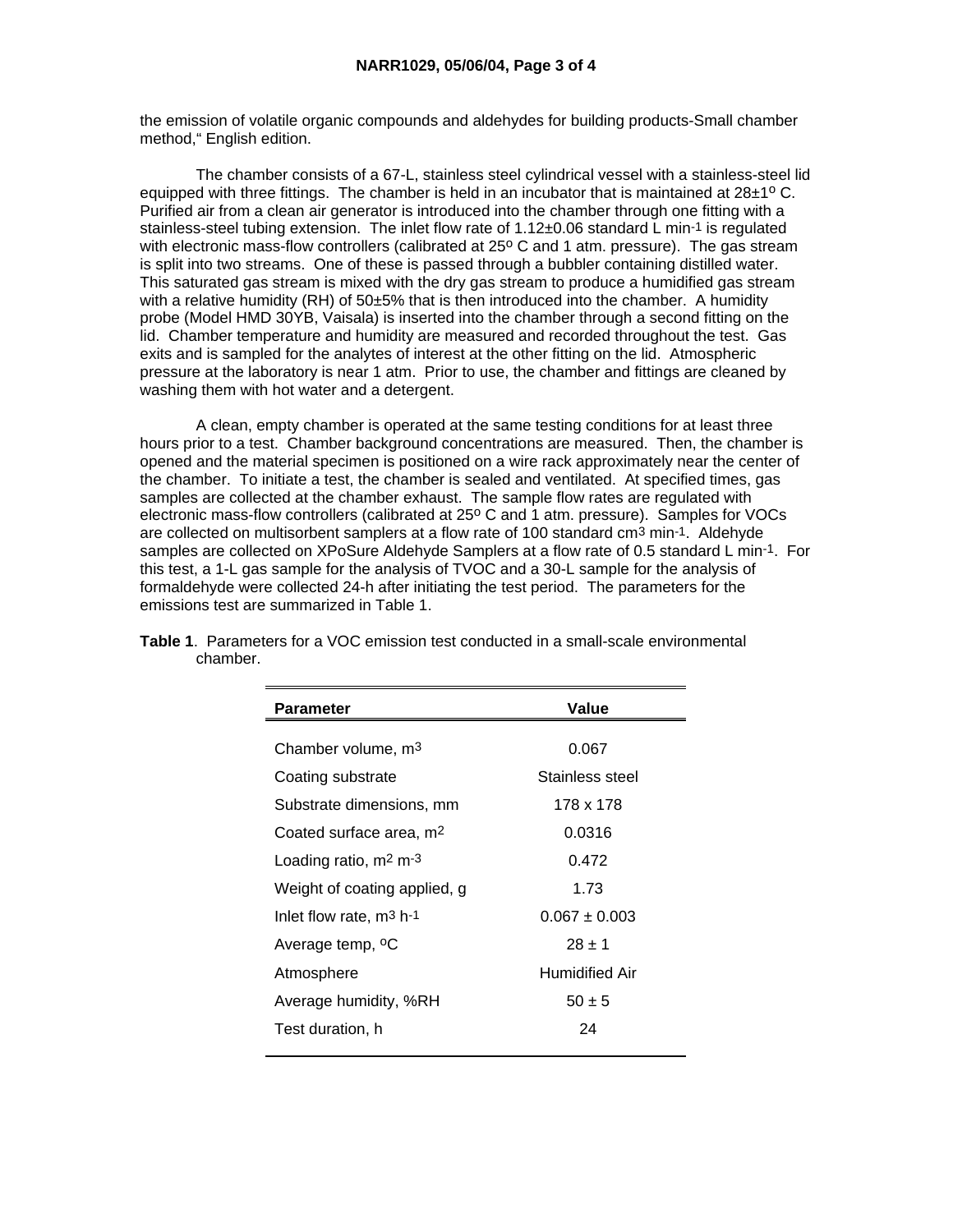the emission of volatile organic compounds and aldehydes for building products-Small chamber method," English edition.

 The chamber consists of a 67-L, stainless steel cylindrical vessel with a stainless-steel lid equipped with three fittings. The chamber is held in an incubator that is maintained at  $28\pm1^{\circ}$  C. Purified air from a clean air generator is introduced into the chamber through one fitting with a stainless-steel tubing extension. The inlet flow rate of 1.12±0.06 standard L min-1 is regulated with electronic mass-flow controllers (calibrated at 25° C and 1 atm. pressure). The gas stream is split into two streams. One of these is passed through a bubbler containing distilled water. This saturated gas stream is mixed with the dry gas stream to produce a humidified gas stream with a relative humidity  $(RH)$  of 50 $\pm$ 5% that is then introduced into the chamber. A humidity probe (Model HMD 30YB, Vaisala) is inserted into the chamber through a second fitting on the lid. Chamber temperature and humidity are measured and recorded throughout the test. Gas exits and is sampled for the analytes of interest at the other fitting on the lid. Atmospheric pressure at the laboratory is near 1 atm. Prior to use, the chamber and fittings are cleaned by washing them with hot water and a detergent.

 A clean, empty chamber is operated at the same testing conditions for at least three hours prior to a test. Chamber background concentrations are measured. Then, the chamber is opened and the material specimen is positioned on a wire rack approximately near the center of the chamber. To initiate a test, the chamber is sealed and ventilated. At specified times, gas samples are collected at the chamber exhaust. The sample flow rates are regulated with electronic mass-flow controllers (calibrated at 25° C and 1 atm. pressure). Samples for VOCs are collected on multisorbent samplers at a flow rate of 100 standard cm3 min-1. Aldehyde samples are collected on XPoSure Aldehyde Samplers at a flow rate of 0.5 standard L min-1. For this test, a 1-L gas sample for the analysis of TVOC and a 30-L sample for the analysis of formaldehyde were collected 24-h after initiating the test period. The parameters for the emissions test are summarized in Table 1.

| <b>Parameter</b>                    | Value             |
|-------------------------------------|-------------------|
|                                     |                   |
| Chamber volume, m <sup>3</sup>      | 0.067             |
| Coating substrate                   | Stainless steel   |
| Substrate dimensions, mm            | 178 x 178         |
| Coated surface area, m <sup>2</sup> | 0.0316            |
| Loading ratio, $m2 m-3$             | 0.472             |
| Weight of coating applied, g        | 1.73              |
| Inlet flow rate, $m^3$ h-1          | $0.067 \pm 0.003$ |
| Average temp, <sup>o</sup> C        | $28 \pm 1$        |
| Atmosphere                          | Humidified Air    |
| Average humidity, %RH               | $50 \pm 5$        |
| Test duration, h                    | 24                |

**Table 1**. Parameters for a VOC emission test conducted in a small-scale environmental chamber.